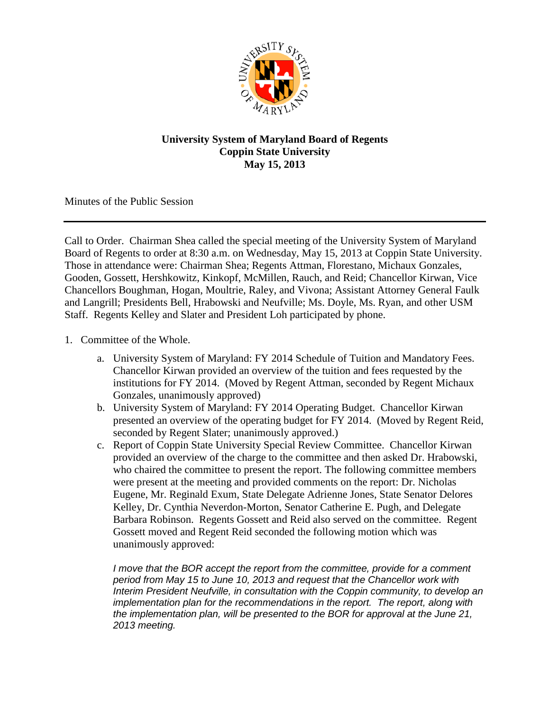

## **University System of Maryland Board of Regents Coppin State University May 15, 2013**

Minutes of the Public Session

Call to Order. Chairman Shea called the special meeting of the University System of Maryland Board of Regents to order at 8:30 a.m. on Wednesday, May 15, 2013 at Coppin State University. Those in attendance were: Chairman Shea; Regents Attman, Florestano, Michaux Gonzales, Gooden, Gossett, Hershkowitz, Kinkopf, McMillen, Rauch, and Reid; Chancellor Kirwan, Vice Chancellors Boughman, Hogan, Moultrie, Raley, and Vivona; Assistant Attorney General Faulk and Langrill; Presidents Bell, Hrabowski and Neufville; Ms. Doyle, Ms. Ryan, and other USM Staff. Regents Kelley and Slater and President Loh participated by phone.

## 1. Committee of the Whole.

- a. University System of Maryland: FY 2014 Schedule of Tuition and Mandatory Fees. Chancellor Kirwan provided an overview of the tuition and fees requested by the institutions for FY 2014. (Moved by Regent Attman, seconded by Regent Michaux Gonzales, unanimously approved)
- b. University System of Maryland: FY 2014 Operating Budget. Chancellor Kirwan presented an overview of the operating budget for FY 2014. (Moved by Regent Reid, seconded by Regent Slater; unanimously approved.)
- c. Report of Coppin State University Special Review Committee. Chancellor Kirwan provided an overview of the charge to the committee and then asked Dr. Hrabowski, who chaired the committee to present the report. The following committee members were present at the meeting and provided comments on the report: Dr. Nicholas Eugene, Mr. Reginald Exum, State Delegate Adrienne Jones, State Senator Delores Kelley, Dr. Cynthia Neverdon-Morton, Senator Catherine E. Pugh, and Delegate Barbara Robinson. Regents Gossett and Reid also served on the committee. Regent Gossett moved and Regent Reid seconded the following motion which was unanimously approved:

*I move that the BOR accept the report from the committee, provide for a comment period from May 15 to June 10, 2013 and request that the Chancellor work with Interim President Neufville, in consultation with the Coppin community, to develop an implementation plan for the recommendations in the report. The report, along with the implementation plan, will be presented to the BOR for approval at the June 21, 2013 meeting.*